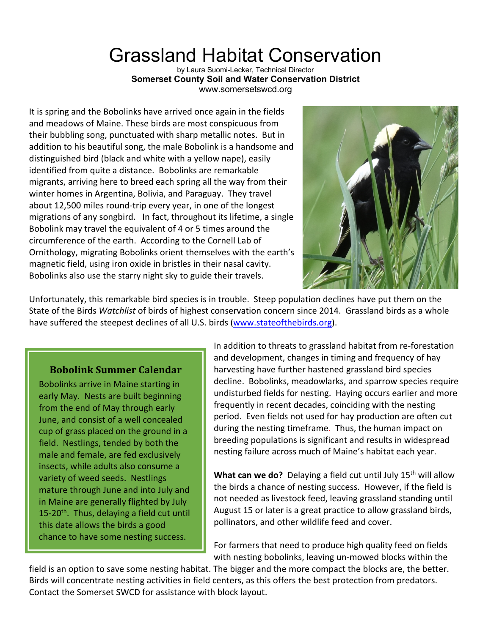## Grassland Habitat Conservation

by Laura Suomi-Lecker, Technical Director **Somerset County Soil and Water Conservation District** www.somersetswcd.org

It is spring and the Bobolinks have arrived once again in the fields and meadows of Maine. These birds are most conspicuous from their bubbling song, punctuated with sharp metallic notes. But in addition to his beautiful song, the male Bobolink is a handsome and distinguished bird (black and white with a yellow nape), easily identified from quite a distance. Bobolinks are remarkable migrants, arriving here to breed each spring all the way from their winter homes in Argentina, Bolivia, and Paraguay. They travel about 12,500 miles round-trip every year, in one of the longest migrations of any songbird. In fact, throughout its lifetime, a single Bobolink may travel the equivalent of 4 or 5 times around the circumference of the earth. According to the Cornell Lab of Ornithology, migrating Bobolinks orient themselves with the earth's magnetic field, using iron oxide in bristles in their nasal cavity. Bobolinks also use the starry night sky to guide their travels.



Unfortunately, this remarkable bird species is in trouble. Steep population declines have put them on the State of the Birds *Watchlist* of birds of highest conservation concern since 2014. Grassland birds as a whole have suffered the steepest declines of all U.S. birds (www.stateofthebirds.org).

## **Bobolink Summer Calendar**

Bobolinks arrive in Maine starting in early May. Nests are built beginning from the end of May through early June, and consist of a well concealed cup of grass placed on the ground in a field. Nestlings, tended by both the male and female, are fed exclusively insects, while adults also consume a variety of weed seeds. Nestlings mature through June and into July and in Maine are generally flighted by July 15-20<sup>th</sup>. Thus, delaying a field cut until this date allows the birds a good chance to have some nesting success.

In addition to threats to grassland habitat from re-forestation and development, changes in timing and frequency of hay harvesting have further hastened grassland bird species decline. Bobolinks, meadowlarks, and sparrow species require undisturbed fields for nesting. Haying occurs earlier and more frequently in recent decades, coinciding with the nesting period. Even fields not used for hay production are often cut during the nesting timeframe. Thus, the human impact on breeding populations is significant and results in widespread nesting failure across much of Maine's habitat each year.

What can we do? Delaying a field cut until July 15<sup>th</sup> will allow the birds a chance of nesting success. However, if the field is not needed as livestock feed, leaving grassland standing until August 15 or later is a great practice to allow grassland birds, pollinators, and other wildlife feed and cover.

For farmers that need to produce high quality feed on fields with nesting bobolinks, leaving un-mowed blocks within the

field is an option to save some nesting habitat. The bigger and the more compact the blocks are, the better. Birds will concentrate nesting activities in field centers, as this offers the best protection from predators. Contact the Somerset SWCD for assistance with block layout.